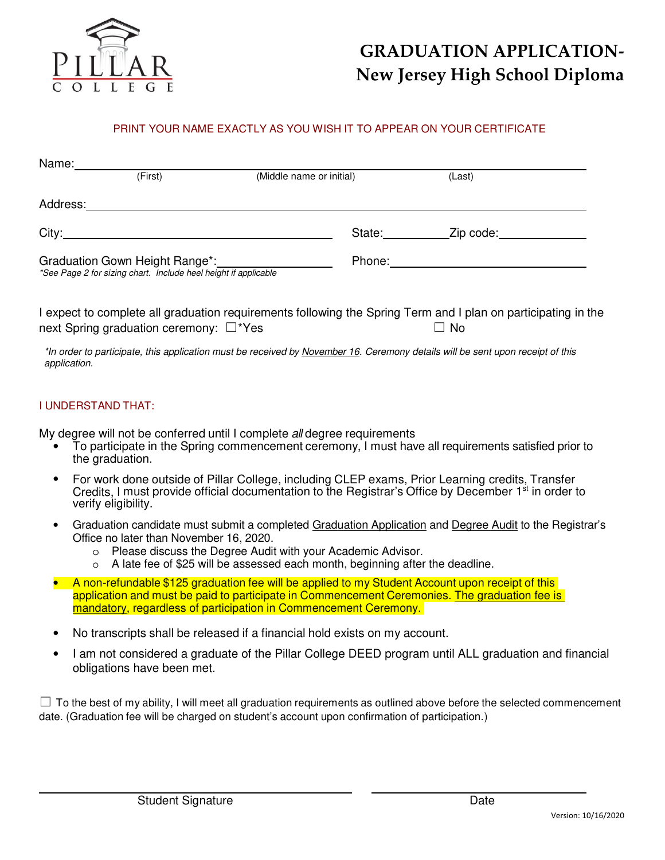

# **GRADUATION APPLICATION-New Jersey High School Diploma**

#### PRINT YOUR NAME EXACTLY AS YOU WISH IT TO APPEAR ON YOUR CERTIFICATE

| Name:    |                                                                                                   |                          |        |           |
|----------|---------------------------------------------------------------------------------------------------|--------------------------|--------|-----------|
|          | (First)                                                                                           | (Middle name or initial) |        | (Last)    |
| Address: |                                                                                                   |                          |        |           |
|          |                                                                                                   |                          | State: | Zip code: |
|          | Graduation Gown Height Range*:<br>*See Page 2 for sizing chart. Include heel height if applicable |                          | Phone: |           |

I expect to complete all graduation requirements following the Spring Term and I plan on participating in the next Spring graduation ceremony: □\*Yes □ □ □ No

\*In order to participate, this application must be received by November 16. Ceremony details will be sent upon receipt of this application.

#### I UNDERSTAND THAT:

My degree will not be conferred until I complete all degree requirements

- To participate in the Spring commencement ceremony, I must have all requirements satisfied prior to the graduation.
- For work done outside of Pillar College, including CLEP exams, Prior Learning credits, Transfer Credits, I must provide official documentation to the Registrar's Office by December 1<sup>st</sup> in order to verify eligibility.
- Graduation candidate must submit a completed Graduation Application and Degree Audit to the Registrar's Office no later than November 16, 2020.
	- o Please discuss the Degree Audit with your Academic Advisor.
	- o A late fee of \$25 will be assessed each month, beginning after the deadline.
- A non-refundable \$125 graduation fee will be applied to my Student Account upon receipt of this application and must be paid to participate in Commencement Ceremonies. The graduation fee is mandatory, regardless of participation in Commencement Ceremony.
- No transcripts shall be released if a financial hold exists on my account.
- I am not considered a graduate of the Pillar College DEED program until ALL graduation and financial obligations have been met.

 $\Box$  To the best of my ability, I will meet all graduation requirements as outlined above before the selected commencement date. (Graduation fee will be charged on student's account upon confirmation of participation.)